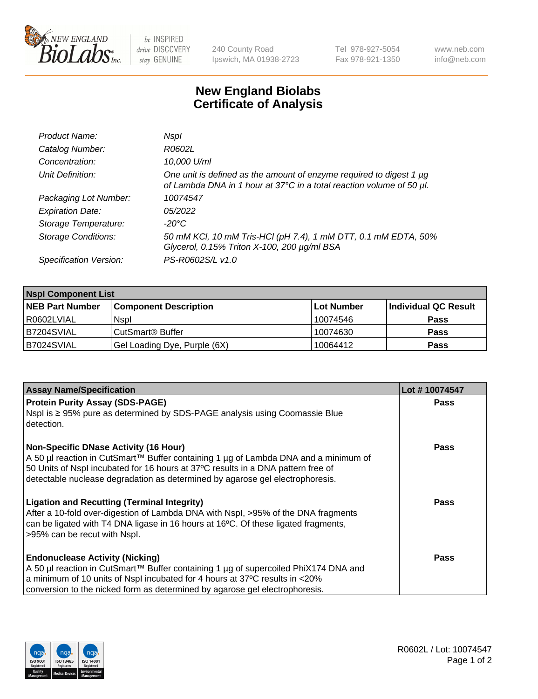

 $be$  INSPIRED drive DISCOVERY stay GENUINE

240 County Road Ipswich, MA 01938-2723 Tel 978-927-5054 Fax 978-921-1350 www.neb.com info@neb.com

## **New England Biolabs Certificate of Analysis**

| Product Name:              | Nspl                                                                                                                                        |
|----------------------------|---------------------------------------------------------------------------------------------------------------------------------------------|
| Catalog Number:            | R0602L                                                                                                                                      |
| Concentration:             | 10,000 U/ml                                                                                                                                 |
| Unit Definition:           | One unit is defined as the amount of enzyme required to digest 1 µg<br>of Lambda DNA in 1 hour at 37°C in a total reaction volume of 50 µl. |
| Packaging Lot Number:      | 10074547                                                                                                                                    |
| <b>Expiration Date:</b>    | 05/2022                                                                                                                                     |
| Storage Temperature:       | -20°C                                                                                                                                       |
| <b>Storage Conditions:</b> | 50 mM KCl, 10 mM Tris-HCl (pH 7.4), 1 mM DTT, 0.1 mM EDTA, 50%<br>Glycerol, 0.15% Triton X-100, 200 µg/ml BSA                               |
| Specification Version:     | PS-R0602S/L v1.0                                                                                                                            |

| <b>Nspl Component List</b> |                              |            |                      |  |  |
|----------------------------|------------------------------|------------|----------------------|--|--|
| <b>NEB Part Number</b>     | <b>Component Description</b> | Lot Number | Individual QC Result |  |  |
| R0602LVIAL                 | <b>Nspl</b>                  | 10074546   | <b>Pass</b>          |  |  |
| B7204SVIAL                 | CutSmart® Buffer             | 10074630   | <b>Pass</b>          |  |  |
| B7024SVIAL                 | Gel Loading Dye, Purple (6X) | 10064412   | <b>Pass</b>          |  |  |

| <b>Assay Name/Specification</b>                                                                                                                                                                                                                                                                          | Lot #10074547 |
|----------------------------------------------------------------------------------------------------------------------------------------------------------------------------------------------------------------------------------------------------------------------------------------------------------|---------------|
| <b>Protein Purity Assay (SDS-PAGE)</b>                                                                                                                                                                                                                                                                   | <b>Pass</b>   |
| Nspl is ≥ 95% pure as determined by SDS-PAGE analysis using Coomassie Blue<br>detection.                                                                                                                                                                                                                 |               |
| <b>Non-Specific DNase Activity (16 Hour)</b><br>A 50 µl reaction in CutSmart™ Buffer containing 1 µg of Lambda DNA and a minimum of<br>50 Units of Nspl incubated for 16 hours at 37°C results in a DNA pattern free of<br>detectable nuclease degradation as determined by agarose gel electrophoresis. | Pass          |
| <b>Ligation and Recutting (Terminal Integrity)</b><br>After a 10-fold over-digestion of Lambda DNA with Nspl, >95% of the DNA fragments<br>can be ligated with T4 DNA ligase in 16 hours at 16°C. Of these ligated fragments,<br>>95% can be recut with Nspl.                                            | <b>Pass</b>   |
| <b>Endonuclease Activity (Nicking)</b><br>A 50 µl reaction in CutSmart™ Buffer containing 1 µg of supercoiled PhiX174 DNA and<br>a minimum of 10 units of Nspl incubated for 4 hours at 37°C results in <20%<br>conversion to the nicked form as determined by agarose gel electrophoresis.              | <b>Pass</b>   |